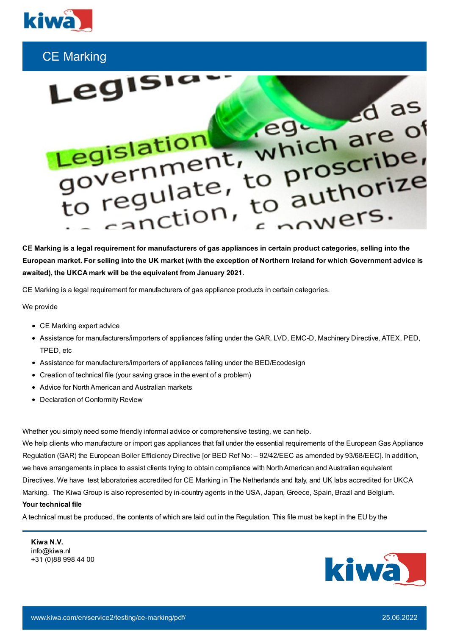

## CE Marking



CE Marking is a legal requirement for manufacturers of gas appliances in certain product categories, selling into the European market. For selling into the UK market (with the exception of Northern Ireland for which Government advice is **awaited), the UKCA mark will be the equivalent from January 2021.**

CE Marking is a legal requirement for manufacturers of gas appliance products in certain categories.

We provide

- CE Marking expert advice
- Assistance for manufacturers/importers of appliances falling under the GAR, LVD, EMC-D, Machinery Directive, ATEX, PED, TPED, etc
- Assistance for manufacturers/importers of appliances falling under the BED/Ecodesign
- Creation of technical file (your saving grace in the event of a problem)
- Advice for North American and Australian markets
- Declaration of Conformity Review

Whether you simply need some friendly informal advice or comprehensive testing, we can help.

We help clients who manufacture or import gas appliances that fall under the essential requirements of the European Gas Appliance Regulation (GAR) the European Boiler Efficiency Directive [or BED Ref No: – 92/42/EEC as amended by 93/68/EEC]. In addition, we have arrangements in place to assist clients trying to obtain compliance with North American and Australian equivalent Directives. We have test laboratories accredited for CE Marking in The Netherlands and Italy, and UK labs accredited for UKCA Marking. The Kiwa Group is also represented by in-country agents in the USA, Japan, Greece, Spain, Brazil and Belgium. **Your technical file**

A technical must be produced, the contents of which are laid out in the Regulation. This file must be kept in the EU by the

**Kiwa N.V.** info@kiwa.nl +31 (0)88 998 44 00